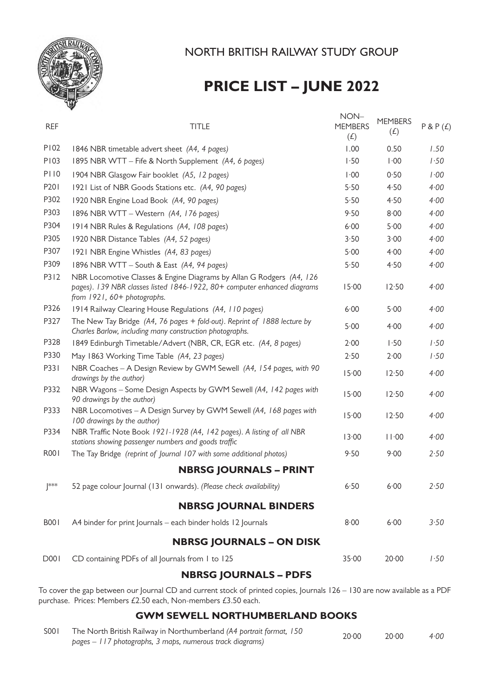

# **PRICE LIST – JUNE 2022**

| <b>REF</b>  | <b>TITLE</b>                                                                                                                                                                    | NON-<br><b>MEMBERS</b><br>(f) | <b>MEMBERS</b><br>(E) | P & P(f) |
|-------------|---------------------------------------------------------------------------------------------------------------------------------------------------------------------------------|-------------------------------|-----------------------|----------|
| P102        | 1846 NBR timetable advert sheet (A4, 4 pages)                                                                                                                                   | 1.00                          | 0.50                  | 1.50     |
| P103        | 1895 NBR WTT - Fife & North Supplement (A4, 6 pages)                                                                                                                            | $\cdot$ 50                    | $\cdot 00$            | 1.50     |
| <b>P110</b> | 1904 NBR Glasgow Fair booklet (A5, 12 pages)                                                                                                                                    | $\cdot 00$                    | 0.50                  | 1.00     |
| P201        | 1921 List of NBR Goods Stations etc. (A4, 90 pages)                                                                                                                             | 5.50                          | 4.50                  | 4.00     |
| P302        | 1920 NBR Engine Load Book (A4, 90 pages)                                                                                                                                        | 5.50                          | 4.50                  | 4.00     |
| P303        | 1896 NBR WTT - Western (A4, 176 pages)                                                                                                                                          | 9.50                          | 8.00                  | 4.00     |
| P304        | 1914 NBR Rules & Regulations (A4, 108 pages)                                                                                                                                    | 6.00                          | 5.00                  | 4.00     |
| P305        | 1920 NBR Distance Tables (A4, 52 pages)                                                                                                                                         | 3.50                          | 3.00                  | 4.00     |
| P307        | 1921 NBR Engine Whistles (A4, 83 pages)                                                                                                                                         | 5.00                          | 4.00                  | 4.00     |
| P309        | 1896 NBR WTT - South & East (A4, 94 pages)                                                                                                                                      | 5.50                          | 4.50                  | 4.00     |
| P312        | NBR Locomotive Classes & Engine Diagrams by Allan G Rodgers (A4, 126<br>pages). 139 NBR classes listed 1846-1922, 80+ computer enhanced diagrams<br>from 1921, 60+ photographs. | 15.00                         | 12.50                 | 4.00     |
| P326        | 1914 Railway Clearing House Regulations (A4, 110 pages)                                                                                                                         | 6.00                          | 5.00                  | 4.00     |
| P327        | The New Tay Bridge (A4, 76 pages + fold-out). Reprint of 1888 lecture by<br>Charles Barlow, including many construction photographs.                                            | 5.00                          | 4.00                  | 4.00     |
| P328        | 1849 Edinburgh Timetable/Advert (NBR, CR, EGR etc. (A4, 8 pages)                                                                                                                | 2.00                          | 1.50                  | 1.50     |
| P330        | May 1863 Working Time Table (A4, 23 pages)                                                                                                                                      | 2.50                          | 2.00                  | 1.50     |
| P331        | NBR Coaches - A Design Review by GWM Sewell (A4, 154 pages, with 90<br>drawings by the author)                                                                                  | 15.00                         | 12.50                 | 4.00     |
| P332        | NBR Wagons - Some Design Aspects by GWM Sewell (A4, 142 pages with<br>90 drawings by the author)                                                                                | 15.00                         | 12.50                 | 4.00     |
| P333        | NBR Locomotives - A Design Survey by GWM Sewell (A4, 168 pages with<br>100 drawings by the author)                                                                              | 15.00                         | 12.50                 | 4.00     |
| P334        | NBR Traffic Note Book 1921-1928 (A4, 142 pages). A listing of all NBR<br>stations showing passenger numbers and goods traffic                                                   | 13.00                         | 11.00                 | 4.00     |
| R001        | The Tay Bridge (reprint of Journal 107 with some additional photos)                                                                                                             | 9.50                          | 9.00                  | 2.50     |
|             | <b>NBRSG JOURNALS - PRINT</b>                                                                                                                                                   |                               |                       |          |
| $ ^{***}$   | 52 page colour Journal (131 onwards). (Please check availability)                                                                                                               | 6.50                          | 6.00                  | 2.50     |
|             | <b>NBRSG JOURNAL BINDERS</b>                                                                                                                                                    |                               |                       |          |
| <b>B001</b> | A4 binder for print Journals - each binder holds 12 Journals                                                                                                                    | 8.00                          | 6.00                  | 3.50     |
|             | <b>NBRSG JOURNALS - ON DISK</b>                                                                                                                                                 |                               |                       |          |
| <b>D001</b> | CD containing PDFs of all Journals from 1 to 125                                                                                                                                | 35.00                         | 20.00                 | 1.50     |

# **NBRSG JOURNALS – PDFS**

To cover the gap between our Journal CD and current stock of printed copies, Journals 126 – 130 are now available as a PDF purchase. Prices: Members £2.50 each, Non-members £3.50 each.

## **GWM SEWELL NORTHUMBERLAND BOOKS**

| S001 | The North British Railway in Northumberland (A4 portrait format, 150 | 20.00 | 20.00 | 4:00 |
|------|----------------------------------------------------------------------|-------|-------|------|
|      | pages - 117 photographs, 3 maps, numerous track diagrams)            |       |       |      |